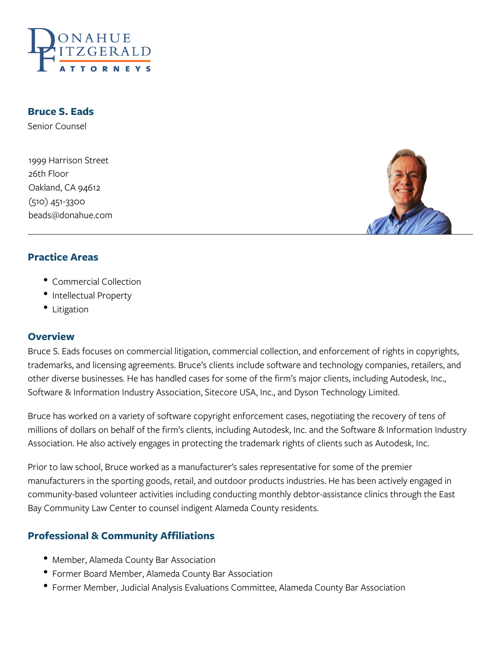

**Bruce S. Eads**

Senior Counsel

1999 Harrison Street 26th Floor Oakland, CA 94612 (510) 451-3300 beads@donahue.com



#### **Practice Areas**

- Commercial Collection
- Intellectual Property
- Litigation

#### **Overview**

Bruce S. Eads focuses on commercial litigation, commercial collection, and enforcement of rights in copyrights, trademarks, and licensing agreements. Bruce's clients include software and technology companies, retailers, and other diverse businesses. He has handled cases for some of the firm's major clients, including Autodesk, Inc., Software & Information Industry Association, Sitecore USA, Inc., and Dyson Technology Limited.

Bruce has worked on a variety of software copyright enforcement cases, negotiating the recovery of tens of millions of dollars on behalf of the firm's clients, including Autodesk, Inc. and the Software & Information Industry Association. He also actively engages in protecting the trademark rights of clients such as Autodesk, Inc.

Prior to law school, Bruce worked as a manufacturer's sales representative for some of the premier manufacturers in the sporting goods, retail, and outdoor products industries. He has been actively engaged in community-based volunteer activities including conducting monthly debtor-assistance clinics through the East Bay Community Law Center to counsel indigent Alameda County residents.

## **Professional & Community Affiliations**

- Member, Alameda County Bar Association
- Former Board Member, Alameda County Bar Association
- Former Member, Judicial Analysis Evaluations Committee, Alameda County Bar Association